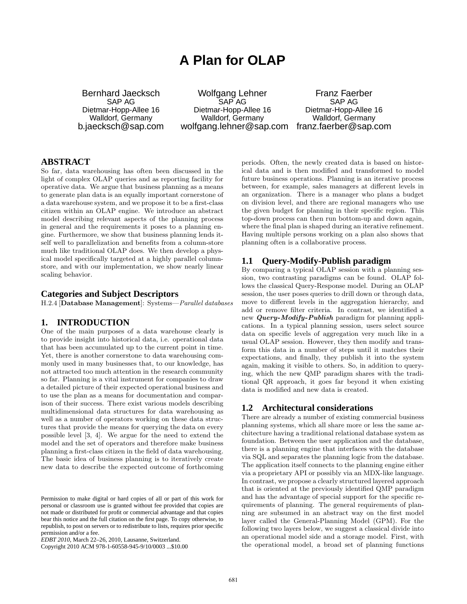# **A Plan for OLAP**

Bernhard Jaecksch SAP AG Dietmar-Hopp-Allee 16 Walldorf, Germany b.jaecksch@sap.com

Wolfgang Lehner SAP AG Dietmar-Hopp-Allee 16 Walldorf, Germany wolfgang.lehner@sap.com franz.faerber@sap.com

Franz Faerber SAP AG Dietmar-Hopp-Allee 16 Walldorf, Germany

## **ABSTRACT**

So far, data warehousing has often been discussed in the light of complex OLAP queries and as reporting facility for operative data. We argue that business planning as a means to generate plan data is an equally important cornerstone of a data warehouse system, and we propose it to be a first-class citizen within an OLAP engine. We introduce an abstract model describing relevant aspects of the planning process in general and the requirements it poses to a planning engine. Furthermore, we show that business planning lends itself well to parallelization and benefits from a column-store much like traditional OLAP does. We then develop a physical model specifically targeted at a highly parallel columnstore, and with our implementation, we show nearly linear scaling behavior.

## **Categories and Subject Descriptors**

H.2.4 [Database Management]: Systems—Parallel databases

# **1. INTRODUCTION**

One of the main purposes of a data warehouse clearly is to provide insight into historical data, i.e. operational data that has been accumulated up to the current point in time. Yet, there is another cornerstone to data warehousing commonly used in many businesses that, to our knowledge, has not attracted too much attention in the research community so far. Planning is a vital instrument for companies to draw a detailed picture of their expected operational business and to use the plan as a means for documentation and comparison of their success. There exist various models describing multidimensional data structures for data warehousing as well as a number of operators working on these data structures that provide the means for querying the data on every possible level [3, 4]. We argue for the need to extend the model and the set of operators and therefore make business planning a first-class citizen in the field of data warehousing. The basic idea of business planning is to iteratively create new data to describe the expected outcome of forthcoming

periods. Often, the newly created data is based on historical data and is then modified and transformed to model future business operations. Planning is an iterative process between, for example, sales managers at different levels in an organization. There is a manager who plans a budget on division level, and there are regional managers who use the given budget for planning in their specific region. This top-down process can then run bottom-up and down again, where the final plan is shaped during an iterative refinement. Having multiple persons working on a plan also shows that planning often is a collaborative process.

## **1.1 Query-Modify-Publish paradigm**

By comparing a typical OLAP session with a planning session, two contrasting paradigms can be found. OLAP follows the classical Query-Response model. During an OLAP session, the user poses queries to drill down or through data, move to different levels in the aggregation hierarchy, and add or remove filter criteria. In contrast, we identified a new *Query-Modify-Publish* paradigm for planning applications. In a typical planning session, users select source data on specific levels of aggregation very much like in a usual OLAP session. However, they then modify and transform this data in a number of steps until it matches their expectations, and finally, they publish it into the system again, making it visible to others. So, in addition to querying, which the new QMP paradigm shares with the traditional QR approach, it goes far beyond it when existing data is modified and new data is created.

## **1.2 Architectural considerations**

There are already a number of existing commercial business planning systems, which all share more or less the same architecture having a traditional relational database system as foundation. Between the user application and the database, there is a planning engine that interfaces with the database via SQL and separates the planning logic from the database. The application itself connects to the planning engine either via a proprietary API or possibly via an MDX-like language. In contrast, we propose a clearly structured layered approach that is oriented at the previously identified QMP paradigm and has the advantage of special support for the specific requirements of planning. The general requirements of planning are subsumed in an abstract way on the first model layer called the General-Planning Model (GPM). For the following two layers below, we suggest a classical divide into an operational model side and a storage model. First, with the operational model, a broad set of planning functions

Permission to make digital or hard copies of all or part of this work for personal or classroom use is granted without fee provided that copies are not made or distributed for profit or commercial advantage and that copies bear this notice and the full citation on the first page. To copy otherwise, to republish, to post on servers or to redistribute to lists, requires prior specific permission and/or a fee.

*EDBT 2010*, March 22–26, 2010, Lausanne, Switzerland.

Copyright 2010 ACM 978-1-60558-945-9/10/0003 ...\$10.00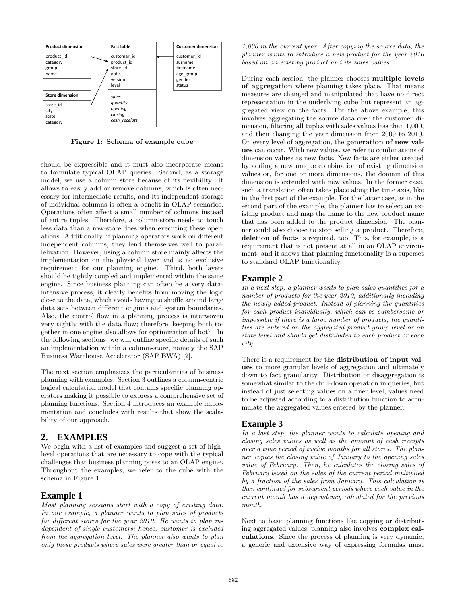

Figure 1: Schema of example cube

should be expressible and it must also incorporate means to formulate typical OLAP queries. Second, as a storage model, we use a column store because of its flexibility. It allows to easily add or remove columns, which is often necessary for intermediate results, and its independent storage of individual columns is often a benefit in OLAP scenarios. Operations often affect a small number of columns instead of entire tuples. Therefore, a column-store needs to touch less data than a row-store does when executing these operations. Additionally, if planning operators work on different independent columns, they lend themselves well to parallelization. However, using a column store mainly affects the implementation on the physical layer and is no exclusive requirement for our planning engine. Third, both layers should be tightly coupled and implemented within the same engine. Since business planning can often be a very dataintensive process, it clearly benefits from moving the logic close to the data, which avoids having to shuffle around large data sets between different engines and system boundaries. Also, the control flow in a planning process is interwoven very tightly with the data flow; therefore, keeping both together in one engine also allows for optimization of both. In the following sections, we will outline specific details of such an implementation within a column-store, namely the SAP Business Warehouse Accelerator (SAP BWA) [2].

The next section emphasizes the particularities of business planning with examples. Section 3 outlines a column-centric logical calculation model that contains specific planning operators making it possible to express a comprehensive set of planning functions. Section 4 introduces an example implementation and concludes with results that show the scalability of our approach.

# **2. EXAMPLES**

We begin with a list of examples and suggest a set of highlevel operations that are necessary to cope with the typical challenges that business planning poses to an OLAP engine. Throughout the examples, we refer to the cube with the schema in Figure 1.

# **Example 1**

Most planning sessions start with a copy of existing data. In our example, a planner wants to plan sales of products for different stores for the year 2010. He wants to plan independent of single customers; hence, customer is excluded from the aggregation level. The planner also wants to plan only those products where sales were greater than or equal to

1,000 in the current year. After copying the source data, the planner wants to introduce a new product for the year 2010 based on an existing product and its sales values.

During each session, the planner chooses multiple levels of aggregation where planning takes place. That means measures are changed and manipulated that have no direct representation in the underlying cube but represent an aggregated view on the facts. For the above example, this involves aggregating the source data over the customer dimension, filtering all tuples with sales values less than 1,000, and then changing the year dimension from 2009 to 2010. On every level of aggregation, the generation of new values can occur. With new values, we refer to combinations of dimension values as new facts. New facts are either created by adding a new unique combination of existing dimension values or, for one or more dimensions, the domain of this dimension is extended with new values. In the former case, such a translation often takes place along the time axis, like in the first part of the example. For the latter case, as in the second part of the example, the planner has to select an existing product and map the name to the new product name that has been added to the product dimension. The planner could also choose to stop selling a product. Therefore, deletion of facts is required, too. This, for example, is a requirement that is not present at all in an OLAP environment, and it shows that planning functionality is a superset to standard OLAP functionality.

# **Example 2**

In a next step, a planner wants to plan sales quantities for a number of products for the year 2010, additionally including the newly added product. Instead of planning the quantities for each product individually, which can be cumbersome or impossible if there is a large number of products, the quantities are entered on the aggregated product group level or on state level and should get distributed to each product or each city.

There is a requirement for the distribution of input values to more granular levels of aggregation and ultimately down to fact granularity. Distribution or disaggregation is somewhat similar to the drill-down operation in queries, but instead of just selecting values on a finer level, values need to be adjusted according to a distribution function to accumulate the aggregated values entered by the planner.

# **Example 3**

In a last step, the planner wants to calculate opening and closing sales values as well as the amount of cash receipts over a time period of twelve months for all stores. The planner copies the closing value of January to the opening sales value of February. Then, he calculates the closing sales of February based on the sales of the current period multiplied by a fraction of the sales from January. This calculation is then continued for subsequent periods where each value in the current month has a dependency calculated for the previous month.

Next to basic planning functions like copying or distributing aggregated values, planning also involves complex calculations. Since the process of planning is very dynamic, a generic and extensive way of expressing formulas must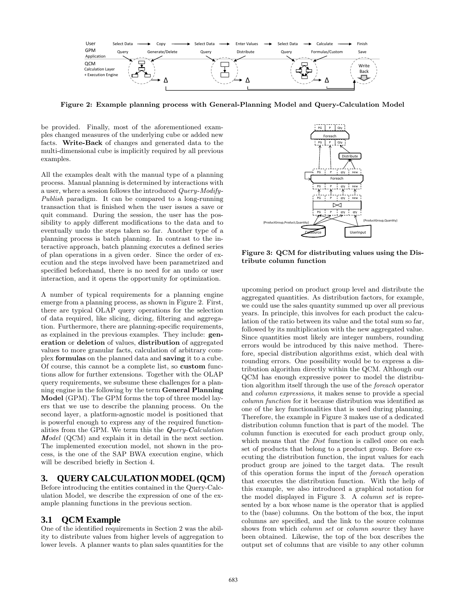

Figure 2: Example planning process with General-Planning Model and Query-Calculation Model

be provided. Finally, most of the aforementioned examples changed measures of the underlying cube or added new facts. Write-Back of changes and generated data to the multi-dimensional cube is implicitly required by all previous examples.

All the examples dealt with the manual type of a planning process. Manual planning is determined by interactions with a user, where a session follows the introduced Query-Modify-Publish paradigm. It can be compared to a long-running transaction that is finished when the user issues a save or quit command. During the session, the user has the possibility to apply different modifications to the data and to eventually undo the steps taken so far. Another type of a planning process is batch planning. In contrast to the interactive approach, batch planning executes a defined series of plan operations in a given order. Since the order of execution and the steps involved have been parametrized and specified beforehand, there is no need for an undo or user interaction, and it opens the opportunity for optimization.

A number of typical requirements for a planning engine emerge from a planning process, as shown in Figure 2. First, there are typical OLAP query operations for the selection of data required, like slicing, dicing, filtering and aggregation. Furthermore, there are planning-specific requirements, as explained in the previous examples. They include: generation or deletion of values, distribution of aggregated values to more granular facts, calculation of arbitrary complex formulas on the planned data and saving it to a cube. Of course, this cannot be a complete list, so custom functions allow for further extensions. Together with the OLAP query requirements, we subsume these challenges for a planning engine in the following by the term General Planning Model (GPM). The GPM forms the top of three model layers that we use to describe the planning process. On the second layer, a platform-agnostic model is positioned that is powerful enough to express any of the required functionalities from the GPM. We term this the  $Query-Calculation$ Model (QCM) and explain it in detail in the next section. The implemented execution model, not shown in the process, is the one of the SAP BWA execution engine, which will be described briefly in Section 4.

# **3. QUERY CALCULATION MODEL (QCM)**

Before introducing the entities contained in the Query-Calculation Model, we describe the expression of one of the example planning functions in the previous section.

# **3.1 QCM Example**

One of the identified requirements in Section 2 was the ability to distribute values from higher levels of aggregation to lower levels. A planner wants to plan sales quantities for the



Figure 3: QCM for distributing values using the Distribute column function

upcoming period on product group level and distribute the aggregated quantities. As distribution factors, for example, we could use the sales quantity summed up over all previous years. In principle, this involves for each product the calculation of the ratio between its value and the total sum so far, followed by its multiplication with the new aggregated value. Since quantities most likely are integer numbers, rounding errors would be introduced by this naive method. Therefore, special distribution algorithms exist, which deal with rounding errors. One possibility would be to express a distribution algorithm directly within the QCM. Although our QCM has enough expressive power to model the distribution algorithm itself through the use of the foreach operator and column expressions, it makes sense to provide a special column function for it because distribution was identified as one of the key functionalities that is used during planning. Therefore, the example in Figure 3 makes use of a dedicated distribution column function that is part of the model. The column function is executed for each product group only, which means that the *Dist* function is called once on each set of products that belong to a product group. Before executing the distribution function, the input values for each product group are joined to the target data. The result of this operation forms the input of the foreach operation that executes the distribution function. With the help of this example, we also introduced a graphical notation for the model displayed in Figure 3. A column set is represented by a box whose name is the operator that is applied to the (base) columns. On the bottom of the box, the input columns are specified, and the link to the source columns shows from which *column set* or *column source* they have been obtained. Likewise, the top of the box describes the output set of columns that are visible to any other column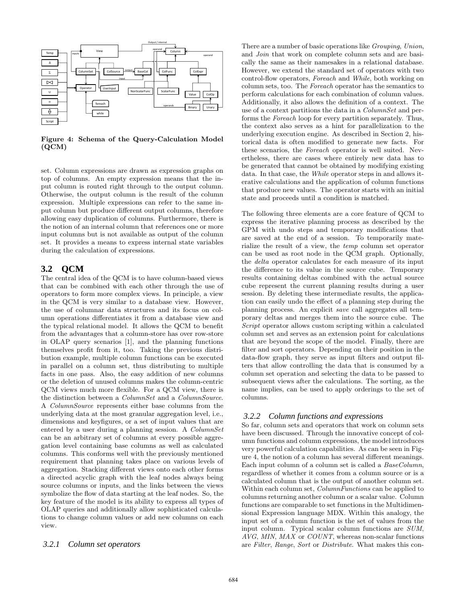

Figure 4: Schema of the Query-Calculation Model (QCM)

set. Column expressions are drawn as expression graphs on top of columns. An empty expression means that the input column is routed right through to the output column. Otherwise, the output column is the result of the column expression. Multiple expressions can refer to the same input column but produce different output columns, therefore allowing easy duplication of columns. Furthermore, there is the notion of an internal column that references one or more input columns but is not available as output of the column set. It provides a means to express internal state variables during the calculation of expressions.

# **3.2 QCM**

The central idea of the QCM is to have column-based views that can be combined with each other through the use of operators to form more complex views. In principle, a view in the QCM is very similar to a database view. However, the use of columnar data structures and its focus on column operations differentiates it from a database view and the typical relational model. It allows the QCM to benefit from the advantages that a column-store has over row-store in OLAP query scenarios [1], and the planning functions themselves profit from it, too. Taking the previous distribution example, multiple column functions can be executed in parallel on a column set, thus distributing to multiple facts in one pass. Also, the easy addition of new columns or the deletion of unused columns makes the column-centric QCM views much more flexible. For a QCM view, there is the distinction between a *ColumnSet* and a *ColumnSource*. A ColumnSource represents either base columns from the underlying data at the most granular aggregation level, i.e., dimensions and keyfigures, or a set of input values that are entered by a user during a planning session. A ColumnSet can be an arbitrary set of columns at every possible aggregation level containing base columns as well as calculated columns. This conforms well with the previously mentioned requirement that planning takes place on various levels of aggregation. Stacking different views onto each other forms a directed acyclic graph with the leaf nodes always being source columns or inputs, and the links between the views symbolize the flow of data starting at the leaf nodes. So, the key feature of the model is its ability to express all types of OLAP queries and additionally allow sophisticated calculations to change column values or add new columns on each view.

## *3.2.1 Column set operators*

There are a number of basic operations like Grouping, Union, and Join that work on complete column sets and are basically the same as their namesakes in a relational database. However, we extend the standard set of operators with two control-flow operators, Foreach and While, both working on column sets, too. The Foreach operator has the semantics to perform calculations for each combination of column values. Additionally, it also allows the definition of a context. The use of a context partitions the data in a *ColumnSet* and performs the Foreach loop for every partition separately. Thus, the context also serves as a hint for parallelization to the underlying execution engine. As described in Section 2, historical data is often modified to generate new facts. For these scenarios, the Foreach operator is well suited. Nevertheless, there are cases where entirely new data has to be generated that cannot be obtained by modifying existing data. In that case, the While operator steps in and allows iterative calculations and the application of column functions that produce new values. The operator starts with an initial state and proceeds until a condition is matched.

The following three elements are a core feature of QCM to express the iterative planning process as described by the GPM with undo steps and temporary modifications that are saved at the end of a session. To temporarily materialize the result of a view, the temp column set operator can be used as root node in the QCM graph. Optionally, the delta operator calculates for each measure of its input the difference to its value in the source cube. Temporary results containing deltas combined with the actual source cube represent the current planning results during a user session. By deleting these intermediate results, the application can easily undo the effect of a planning step during the planning process. An explicit save call aggregates all temporary deltas and merges them into the source cube. The Script operator allows custom scripting within a calculated column set and serves as an extension point for calculations that are beyond the scope of the model. Finally, there are filter and sort operators. Depending on their position in the data-flow graph, they serve as input filters and output filters that allow controlling the data that is consumed by a column set operation and selecting the data to be passed to subsequent views after the calculations. The sorting, as the name implies, can be used to apply orderings to the set of columns.

## *3.2.2 Column functions and expressions*

So far, column sets and operators that work on column sets have been discussed. Through the innovative concept of column functions and column expressions, the model introduces very powerful calculation capabilities. As can be seen in Figure 4, the notion of a column has several different meanings. Each input column of a column set is called a BaseColumn, regardless of whether it comes from a column source or is a calculated column that is the output of another column set. Within each column set, *ColumnFunctions* can be applied to columns returning another column or a scalar value. Column functions are comparable to set functions in the Multidimensional Expression language MDX. Within this analogy, the input set of a column function is the set of values from the input column. Typical scalar column functions are SUM, AVG, MIN, MAX or COUNT, whereas non-scalar functions are Filter, Range, Sort or Distribute. What makes this con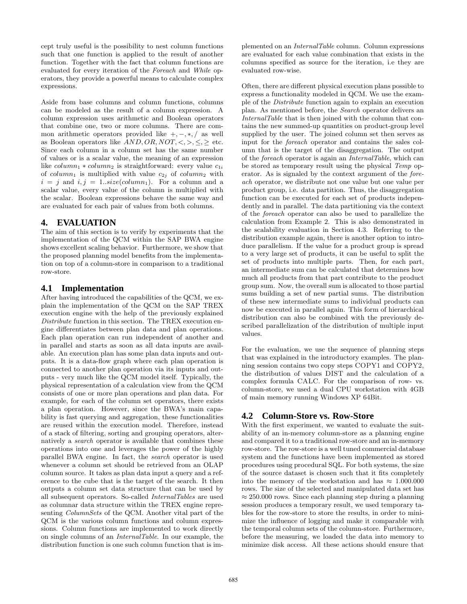cept truly useful is the possibility to nest column functions such that one function is applied to the result of another function. Together with the fact that column functions are evaluated for every iteration of the Foreach and While operators, they provide a powerful means to calculate complex expressions.

Aside from base columns and column functions, columns can be modeled as the result of a column expression. A column expression uses arithmetic and Boolean operators that combine one, two or more columns. There are common arithmetic operators provided like +, −, ∗, / as well as Boolean operators like  $AND, OR, NOT, <, >, \leq, \geq$  etc. Since each column in a column set has the same number of values or is a scalar value, the meaning of an expression like  $column_1 * column_2$  is straightforward: every value  $c_{1i}$ of column<sub>1</sub> is multiplied with value  $c_{2j}$  of column<sub>2</sub> with  $i = j$  and  $i, j = 1..size(column_{1})$ . For a column and a scalar value, every value of the column is multiplied with the scalar. Boolean expressions behave the same way and are evaluated for each pair of values from both columns.

# **4. EVALUATION**

The aim of this section is to verify by experiments that the implementation of the QCM within the SAP BWA engine shows excellent scaling behavior. Furthermore, we show that the proposed planning model benefits from the implementation on top of a column-store in comparison to a traditional row-store.

# **4.1 Implementation**

After having introduced the capabilities of the QCM, we explain the implementation of the QCM on the SAP TREX execution engine with the help of the previously explained Distribute function in this section. The TREX execution engine differentiates between plan data and plan operations. Each plan operation can run independent of another and in parallel and starts as soon as all data inputs are available. An execution plan has some plan data inputs and outputs. It is a data-flow graph where each plan operation is connected to another plan operation via its inputs and outputs - very much like the QCM model itself. Typically, the physical representation of a calculation view from the QCM consists of one or more plan operations and plan data. For example, for each of the column set operators, there exists a plan operation. However, since the BWA's main capability is fast querying and aggregation, these functionalities are reused within the execution model. Therefore, instead of a stack of filtering, sorting and grouping operators, alternatively a search operator is available that combines these operations into one and leverages the power of the highly parallel BWA engine. In fact, the search operator is used whenever a column set should be retrieved from an OLAP column source. It takes as plan data input a query and a reference to the cube that is the target of the search. It then outputs a column set data structure that can be used by all subsequent operators. So-called InternalTables are used as columnar data structure within the TREX engine representing ColumnSets of the QCM. Another vital part of the QCM is the various column functions and column expressions. Column functions are implemented to work directly on single columns of an InternalTable. In our example, the distribution function is one such column function that is implemented on an InternalTable column. Column expressions are evaluated for each value combination that exists in the columns specified as source for the iteration, i.e they are evaluated row-wise.

Often, there are different physical execution plans possible to express a functionality modeled in QCM. We use the example of the Distribute function again to explain an execution plan. As mentioned before, the Search operator delivers an InternalTable that is then joined with the column that contains the new summed-up quantities on product-group level supplied by the user. The joined column set then serves as input for the foreach operator and contains the sales column that is the target of the disaggregation. The output of the foreach operator is again an InternalTable, which can be stored as temporary result using the physical Temp operator. As is signaled by the context argument of the foreach operator, we distribute not one value but one value per product group, i.e. data partition. Thus, the disaggregation function can be executed for each set of products independently and in parallel. The data partitioning via the context of the foreach operator can also be used to parallelize the calculation from Example 2. This is also demonstrated in the scalability evaluation in Section 4.3. Referring to the distribution example again, there is another option to introduce parallelism. If the value for a product group is spread to a very large set of products, it can be useful to split the set of products into multiple parts. Then, for each part, an intermediate sum can be calculated that determines how much all products from that part contribute to the product group sum. Now, the overall sum is allocated to those partial sums building a set of new partial sums. The distribution of these new intermediate sums to individual products can now be executed in parallel again. This form of hierarchical distribution can also be combined with the previously described parallelization of the distribution of multiple input values.

For the evaluation, we use the sequence of planning steps that was explained in the introductory examples. The planning session contains two copy steps COPY1 and COPY2, the distribution of values DIST and the calculation of a complex formula CALC. For the comparison of row- vs. column-store, we used a dual CPU workstation with 4GB of main memory running Windows XP 64Bit.

# **4.2 Column-Store vs. Row-Store**

With the first experiment, we wanted to evaluate the suitability of an in-memory column-store as a planning engine and compared it to a traditional row-store and an in-memory row-store. The row-store is a well tuned commercial database system and the functions have been implemented as stored procedures using procedural SQL. For both systems, the size of the source dataset is chosen such that it fits completely into the memory of the workstation and has  $\approx 1.000.000$ rows. The size of the selected and manipulated data set has  $\approx 250.000$  rows. Since each planning step during a planning session produces a temporary result, we used temporary tables for the row-store to store the results, in order to minimize the influence of logging and make it comparable with the temporal column sets of the column-store. Furthermore, before the measuring, we loaded the data into memory to minimize disk access. All these actions should ensure that